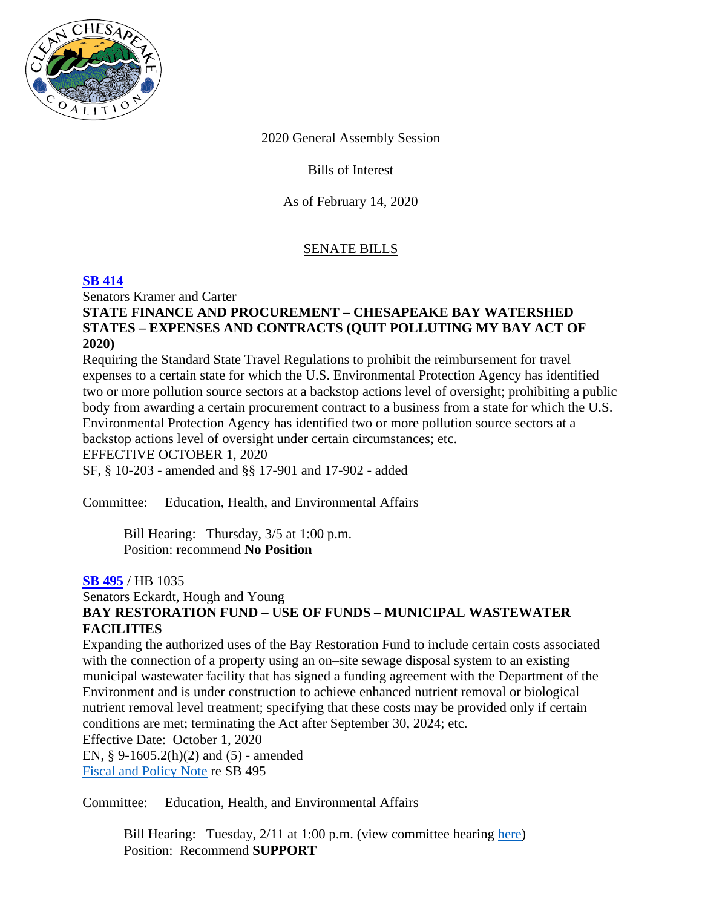

2020 General Assembly Session

Bills of Interest

As of February 14, 2020

# SENATE BILLS

## **[SB 414](http://mgaleg.maryland.gov/mgawebsite/legislation/details/sb0414?ys=2020rs)**

Senators Kramer and Carter

### **STATE FINANCE AND PROCUREMENT – CHESAPEAKE BAY WATERSHED STATES – EXPENSES AND CONTRACTS (QUIT POLLUTING MY BAY ACT OF 2020)**

Requiring the Standard State Travel Regulations to prohibit the reimbursement for travel expenses to a certain state for which the U.S. Environmental Protection Agency has identified two or more pollution source sectors at a backstop actions level of oversight; prohibiting a public body from awarding a certain procurement contract to a business from a state for which the U.S. Environmental Protection Agency has identified two or more pollution source sectors at a backstop actions level of oversight under certain circumstances; etc. EFFECTIVE OCTOBER 1, 2020

SF, § 10-203 - amended and §§ 17-901 and 17-902 - added

Committee: Education, Health, and Environmental Affairs

Bill Hearing: Thursday, 3/5 at 1:00 p.m. Position: recommend **No Position**

### **[SB 495](http://mgaleg.maryland.gov/mgawebsite/Legislation/Details/sb0495?ys=2020RS)** / HB 1035

#### Senators Eckardt, Hough and Young **BAY RESTORATION FUND – USE OF FUNDS – MUNICIPAL WASTEWATER FACILITIES**

Expanding the authorized uses of the Bay Restoration Fund to include certain costs associated with the connection of a property using an on–site sewage disposal system to an existing municipal wastewater facility that has signed a funding agreement with the Department of the Environment and is under construction to achieve enhanced nutrient removal or biological nutrient removal level treatment; specifying that these costs may be provided only if certain conditions are met; terminating the Act after September 30, 2024; etc. Effective Date: October 1, 2020

EN, § 9-1605.2(h)(2) and (5) - amended [Fiscal and Policy Note](http://mgaleg.maryland.gov/2020RS/fnotes/bil_0005/sb0495.pdf) re SB 495

Committee: Education, Health, and Environmental Affairs

Bill Hearing: Tuesday, 2/11 at 1:00 p.m. (view committee hearing [here\)](http://mgaleg.maryland.gov/mgawebsite/Committees/Media/false?cmte=ehe&ys=2020RS&clip=EHE_2_11_2020_meeting_1&url=http%3A%2F%2Fmgahouse.maryland.gov%2Fmga%2Fplay%2Fee91399f-3162-40b9-a650-2637eb526ab4%2F%3Fcatalog%2F03e481c7-8a42-4438-a7da-93ff74bdaa4c%26playfrom%3D1668052) Position: Recommend **SUPPORT**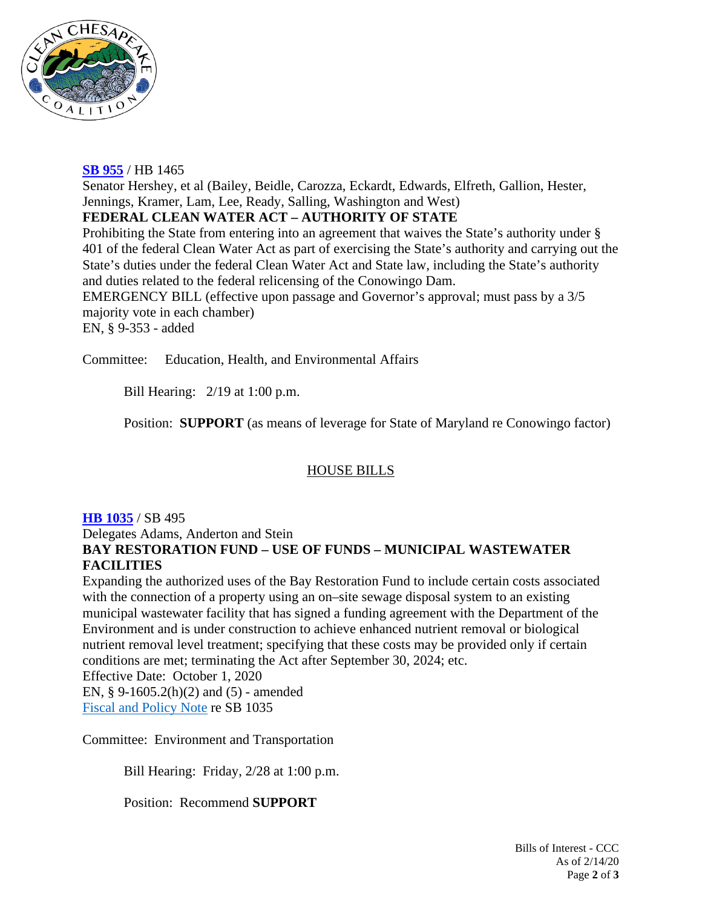

### **[SB 955](http://mgaleg.maryland.gov/mgawebsite/legislation/details/sb0955?ys=2020rs)** / HB 1465

Senator Hershey, et al (Bailey, Beidle, Carozza, Eckardt, Edwards, Elfreth, Gallion, Hester, Jennings, Kramer, Lam, Lee, Ready, Salling, Washington and West)

### **FEDERAL CLEAN WATER ACT – AUTHORITY OF STATE**

Prohibiting the State from entering into an agreement that waives the State's authority under § 401 of the federal Clean Water Act as part of exercising the State's authority and carrying out the State's duties under the federal Clean Water Act and State law, including the State's authority and duties related to the federal relicensing of the Conowingo Dam. EMERGENCY BILL (effective upon passage and Governor's approval; must pass by a 3/5 majority vote in each chamber) EN, § 9-353 - added

Committee: Education, Health, and Environmental Affairs

Bill Hearing: 2/19 at 1:00 p.m.

Position: **SUPPORT** (as means of leverage for State of Maryland re Conowingo factor)

### HOUSE BILLS

### **[HB 1035](http://mgaleg.maryland.gov/mgawebsite/Legislation/Details/hb1035?ys=2020RS)** / SB 495

Delegates Adams, Anderton and Stein

# **BAY RESTORATION FUND – USE OF FUNDS – MUNICIPAL WASTEWATER FACILITIES**

Expanding the authorized uses of the Bay Restoration Fund to include certain costs associated with the connection of a property using an on–site sewage disposal system to an existing municipal wastewater facility that has signed a funding agreement with the Department of the Environment and is under construction to achieve enhanced nutrient removal or biological nutrient removal level treatment; specifying that these costs may be provided only if certain conditions are met; terminating the Act after September 30, 2024; etc.

Effective Date: October 1, 2020

EN, § 9-1605.2(h)(2) and (5) - amended [Fiscal and Policy Note](http://mgaleg.maryland.gov/2020RS/fnotes/bil_0005/hb1035.pdf) re SB 1035

Committee: Environment and Transportation

Bill Hearing: Friday, 2/28 at 1:00 p.m.

Position: Recommend **SUPPORT**